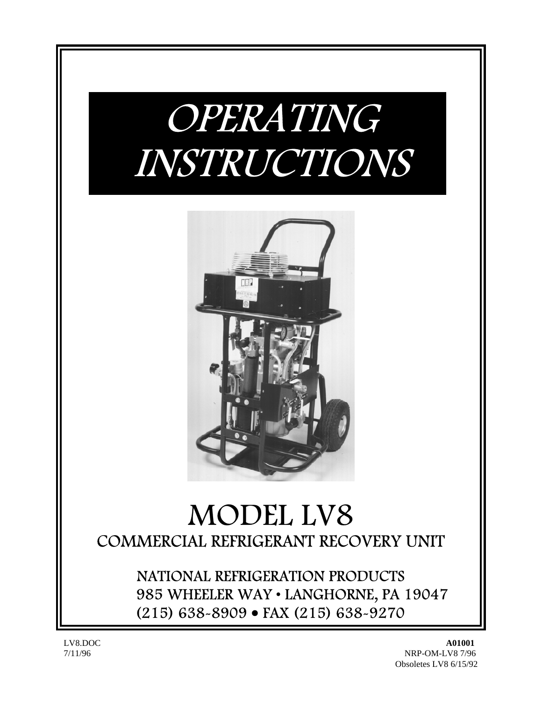# OPERATING INSTRUCTIONS



# MODEL LV8 COMMERCIAL REFRIGERANT RECOVERY UNIT

NATIONAL REFRIGERATION PRODUCTS 985 WHEELER WAY • LANGHORNE, PA 19047 (215) 638-8909 • FAX (215) 638-9270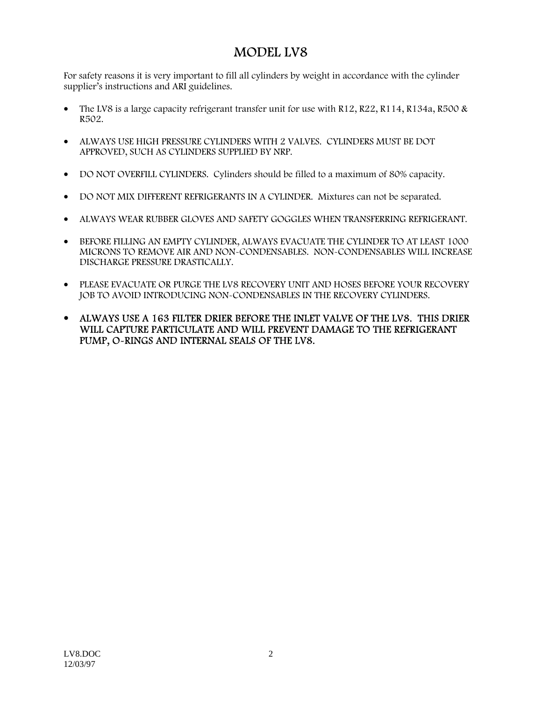## MODEL LV8

For safety reasons it is very important to fill all cylinders by weight in accordance with the cylinder supplier's instructions and ARI guidelines.

- The LV8 is a large capacity refrigerant transfer unit for use with  $R12, R22, R114, R134a, R500 &$ R502.
- ALWAYS USE HIGH PRESSURE CYLINDERS WITH 2 VALVES. CYLINDERS MUST BE DOT APPROVED, SUCH AS CYLINDERS SUPPLIED BY NRP.
- DO NOT OVERFILL CYLINDERS. Cylinders should be filled to a maximum of 80% capacity.
- DO NOT MIX DIFFERENT REFRIGERANTS IN A CYLINDER. Mixtures can not be separated.
- ALWAYS WEAR RUBBER GLOVES AND SAFETY GOGGLES WHEN TRANSFERRING REFRIGERANT.
- BEFORE FILLING AN EMPTY CYLINDER, ALWAYS EVACUATE THE CYLINDER TO AT LEAST 1000 MICRONS TO REMOVE AIR AND NON-CONDENSABLES. NON-CONDENSABLES WILL INCREASE DISCHARGE PRESSURE DRASTICALLY.
- PLEASE EVACUATE OR PURGE THE LV8 RECOVERY UNIT AND HOSES BEFORE YOUR RECOVERY JOB TO AVOID INTRODUCING NON-CONDENSABLES IN THE RECOVERY CYLINDERS.
- ALWAYS USE A 163 FILTER DRIER BEFORE THE INLET VALVE OF THE LV8. THIS DRIER WILL CAPTURE PARTICULATE AND WILL PREVENT DAMAGE TO THE REFRIGERANT PUMP, O-RINGS AND INTERNAL SEALS OF THE LV8.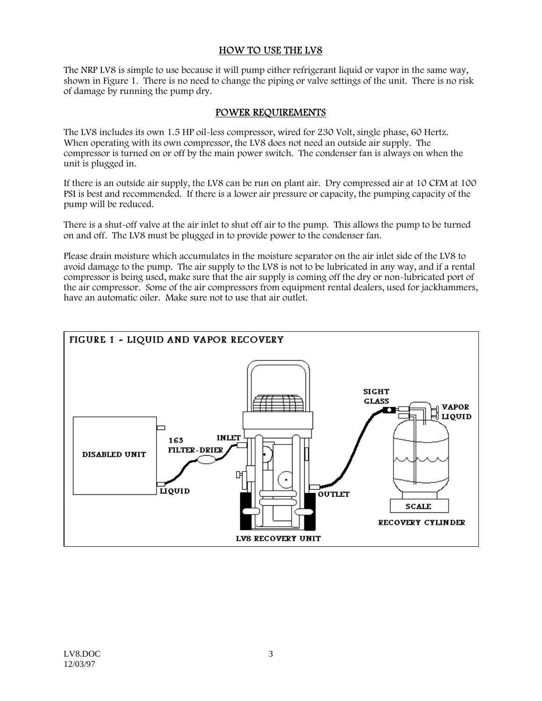#### HOW TO USE THE LV8

The NRP LV8 is simple to use because it will pump either refrigerant liquid or vapor in the same way, shown in Figure 1. There is no need to change the piping or valve settings of the unit. There is no risk of damage by running the pump dry.

#### POWER REQUIREMENTS

The LV8 includes its own 1.5 HP oil-less compressor, wired for 230 Volt, single phase, 60 Hertz. When operating with its own compressor, the LV8 does not need an outside air supply. The compressor is turned on or off by the main power switch. The condenser fan is always on when the unit is plugged in.

If there is an outside air supply, the LV8 can be run on plant air. Dry compressed air at 10 CFM at 100 PSI is best and recommended. If there is a lower air pressure or capacity, the pumping capacity of the pump will be reduced.

There is a shut-off valve at the air inlet to shut off air to the pump. This allows the pump to be turned on and off. The LV8 must be plugged in to provide power to the condenser fan.

Please drain moisture which accumulates in the moisture separator on the air inlet side of the LV8 to avoid damage to the pump. The air supply to the LV8 is not to be lubricated in any way, and if a rental compressor is being used, make sure that the air supply is coming off the dry or non-lubricated port of the air compressor. Some of the air compressors from equipment rental dealers, used for jackhammers, have an automatic oiler. Make sure not to use that air outlet.

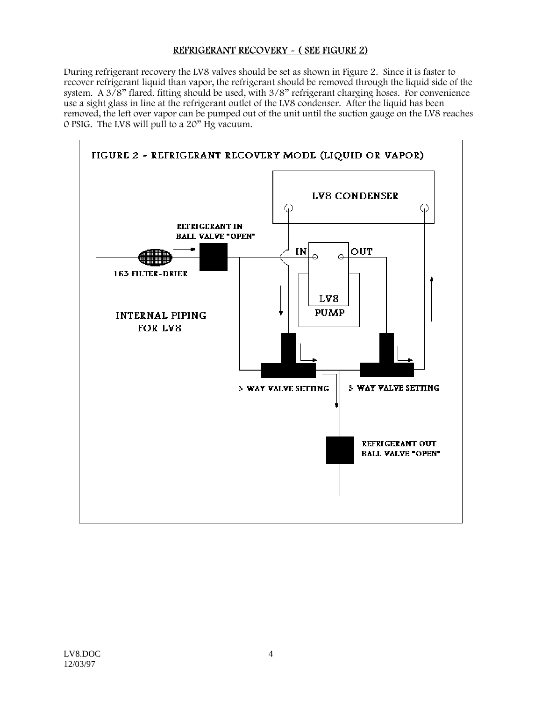#### REFRIGERANT RECOVERY - ( SEE FIGURE 2)

During refrigerant recovery the LV8 valves should be set as shown in Figure 2. Since it is faster to recover refrigerant liquid than vapor, the refrigerant should be removed through the liquid side of the system. A 3/8" flared. fitting should be used, with 3/8" refrigerant charging hoses. For convenience use a sight glass in line at the refrigerant outlet of the LV8 condenser. After the liquid has been removed, the left over vapor can be pumped out of the unit until the suction gauge on the LV8 reaches 0 PSIG. The LV8 will pull to a 20" Hg vacuum.

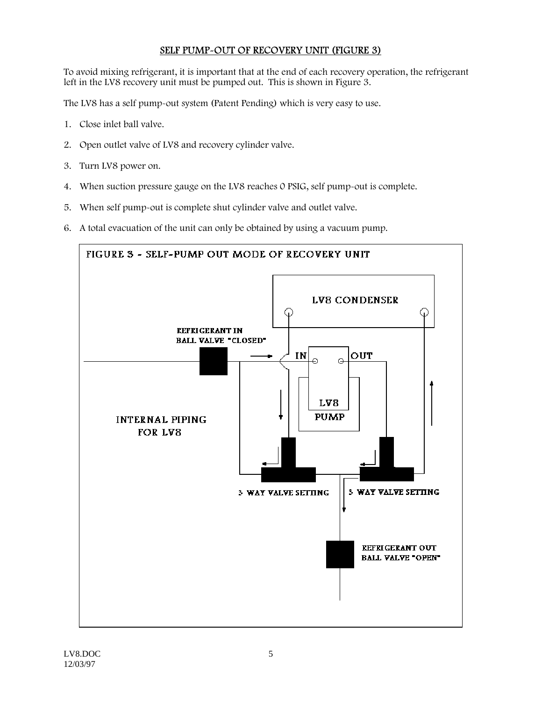#### SELF PUMP-OUT OF RECOVERY UNIT (FIGURE 3)

To avoid mixing refrigerant, it is important that at the end of each recovery operation, the refrigerant left in the LV8 recovery unit must be pumped out. This is shown in Figure 3.

The LV8 has a self pump-out system (Patent Pending) which is very easy to use.

- 1. Close inlet ball valve.
- 2. Open outlet valve of LV8 and recovery cylinder valve.
- 3. Turn LV8 power on.
- 4. When suction pressure gauge on the LV8 reaches 0 PSIG, self pump-out is complete.
- 5. When self pump-out is complete shut cylinder valve and outlet valve.
- 6. A total evacuation of the unit can only be obtained by using a vacuum pump.

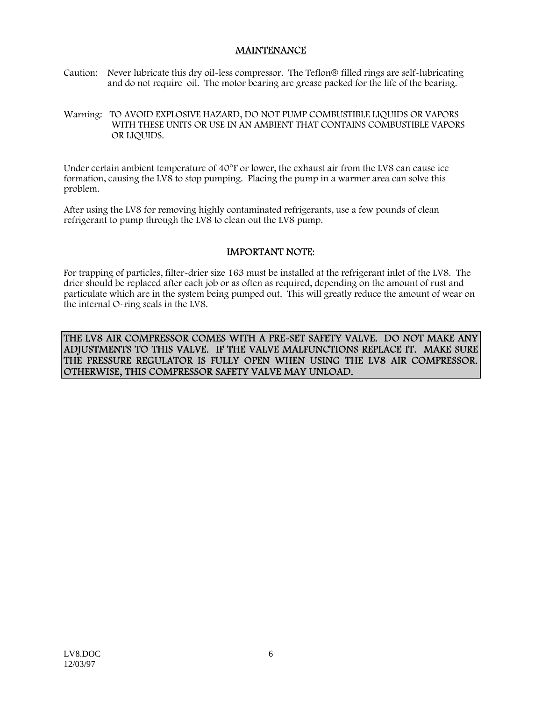#### MAINTENANCE

- Caution: Never lubricate this dry oil-less compressor. The Teflon® filled rings are self-lubricating and do not require oil. The motor bearing are grease packed for the life of the bearing.
- Warning: TO AVOID EXPLOSIVE HAZARD, DO NOT PUMP COMBUSTIBLE LIQUIDS OR VAPORS WITH THESE UNITS OR USE IN AN AMBIENT THAT CONTAINS COMBUSTIBLE VAPORS OR LIQUIDS.

Under certain ambient temperature of 40°F or lower, the exhaust air from the LV8 can cause ice formation, causing the LV8 to stop pumping. Placing the pump in a warmer area can solve this problem.

After using the LV8 for removing highly contaminated refrigerants, use a few pounds of clean refrigerant to pump through the LV8 to clean out the LV8 pump.

#### IMPORTANT NOTE:

For trapping of particles, filter-drier size 163 must be installed at the refrigerant inlet of the LV8. The drier should be replaced after each job or as often as required, depending on the amount of rust and particulate which are in the system being pumped out. This will greatly reduce the amount of wear on the internal O-ring seals in the LV8.

THE LV8 AIR COMPRESSOR COMES WITH A PRE-SET SAFETY VALVE. DO NOT MAKE ANY ADJUSTMENTS TO THIS VALVE. IF THE VALVE MALFUNCTIONS REPLACE IT. MAKE SURE THE PRESSURE REGULATOR IS FULLY OPEN WHEN USING THE LV8 AIR COMPRESSOR. OTHERWISE, THIS COMPRESSOR SAFETY VALVE MAY UNLOAD.